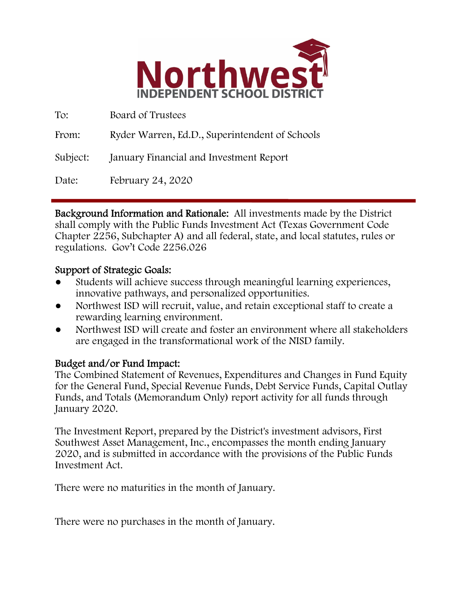

| To:      | Board of Trustees                              |
|----------|------------------------------------------------|
| From:    | Ryder Warren, Ed.D., Superintendent of Schools |
| Subject: | January Financial and Investment Report        |
| Date:    | February 24, 2020                              |

Background Information and Rationale: All investments made by the District shall comply with the Public Funds Investment Act (Texas Government Code Chapter 2256, Subchapter A) and all federal, state, and local statutes, rules or regulations. Gov't Code 2256.026

## Support of Strategic Goals:

- Students will achieve success through meaningful learning experiences, innovative pathways, and personalized opportunities.
- Northwest ISD will recruit, value, and retain exceptional staff to create a rewarding learning environment.
- Northwest ISD will create and foster an environment where all stakeholders are engaged in the transformational work of the NISD family.

## Budget and/or Fund Impact:

The Combined Statement of Revenues, Expenditures and Changes in Fund Equity for the General Fund, Special Revenue Funds, Debt Service Funds, Capital Outlay Funds, and Totals (Memorandum Only) report activity for all funds through January 2020.

The Investment Report, prepared by the District's investment advisors, First Southwest Asset Management, Inc., encompasses the month ending January 2020, and is submitted in accordance with the provisions of the Public Funds Investment Act.

There were no maturities in the month of January.

There were no purchases in the month of January.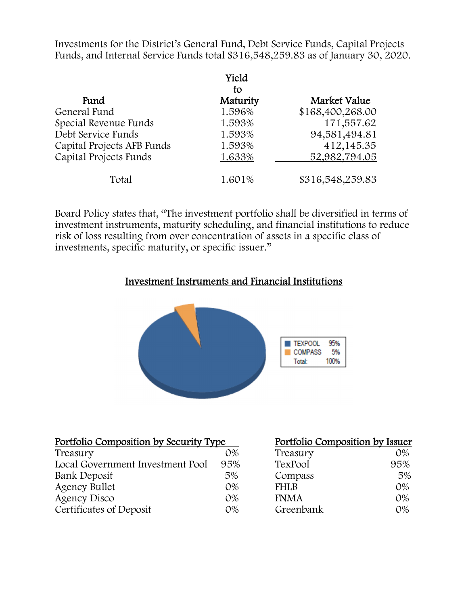Investments for the District's General Fund, Debt Service Funds, Capital Projects Funds, and Internal Service Funds total \$316,548,259.83 as of January 30, 2020.

|                            | Yield          |                  |
|----------------------------|----------------|------------------|
| Fund                       | tο<br>Maturity | Market Value     |
| General Fund               | 1.596%         | \$168,400,268.00 |
| Special Revenue Funds      | 1.593%         | 171,557.62       |
| Debt Service Funds         | 1.593%         | 94,581,494.81    |
| Capital Projects AFB Funds | 1.593%         | 412,145.35       |
| Capital Projects Funds     | 1.633%         | 52,982,794.05    |
| Total                      | 1.601%         | \$316,548,259.83 |

Board Policy states that, "The investment portfolio shall be diversified in terms of investment instruments, maturity scheduling, and financial institutions to reduce risk of loss resulting from over concentration of assets in a specific class of investments, specific maturity, or specific issuer."

#### Investment Instruments and Financial Institutions



| Portfolio Composition by Security Type |       | Portfolio Composition by Issuer |       |
|----------------------------------------|-------|---------------------------------|-------|
| Treasury                               | $O\%$ | Treasury                        | $O\%$ |
| Local Government Investment Pool       | 95%   | TexPool                         | 95%   |
| Bank Deposit                           | 5%    | Compass                         | 5%    |
| <b>Agency Bullet</b>                   | $O\%$ | <b>FHLB</b>                     | $O\%$ |
| Agency Disco                           | $O\%$ | <b>FNMA</b>                     | $O\%$ |
| Certificates of Deposit                | $O\%$ | Greenbank                       | $O\%$ |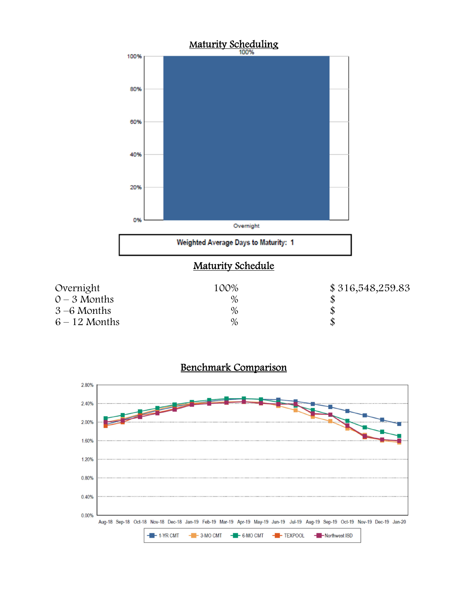



# Benchmark Comparison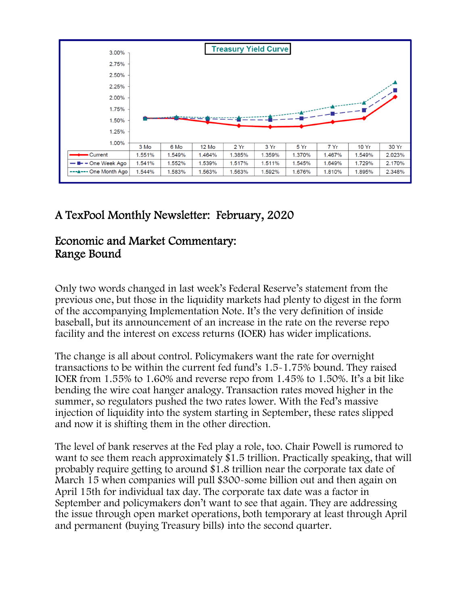

# A TexPool Monthly Newsletter: February, 2020

# Economic and Market Commentary: Range Bound

Only two words changed in last week's Federal Reserve's statement from the previous one, but those in the liquidity markets had plenty to digest in the form of the accompanying Implementation Note. It's the very definition of inside baseball, but its announcement of an increase in the rate on the reverse repo facility and the interest on excess returns (IOER) has wider implications.

The change is all about control. Policymakers want the rate for overnight transactions to be within the current fed fund's 1.5-1.75% bound. They raised IOER from 1.55% to 1.60% and reverse repo from 1.45% to 1.50%. It's a bit like bending the wire coat hanger analogy. Transaction rates moved higher in the summer, so regulators pushed the two rates lower. With the Fed's massive injection of liquidity into the system starting in September, these rates slipped and now it is shifting them in the other direction.

The level of bank reserves at the Fed play a role, too. Chair Powell is rumored to want to see them reach approximately \$1.5 trillion. Practically speaking, that will probably require getting to around \$1.8 trillion near the corporate tax date of March 15 when companies will pull \$300-some billion out and then again on April 15th for individual tax day. The corporate tax date was a factor in September and policymakers don't want to see that again. They are addressing the issue through open market operations, both temporary at least through April and permanent (buying Treasury bills) into the second quarter.